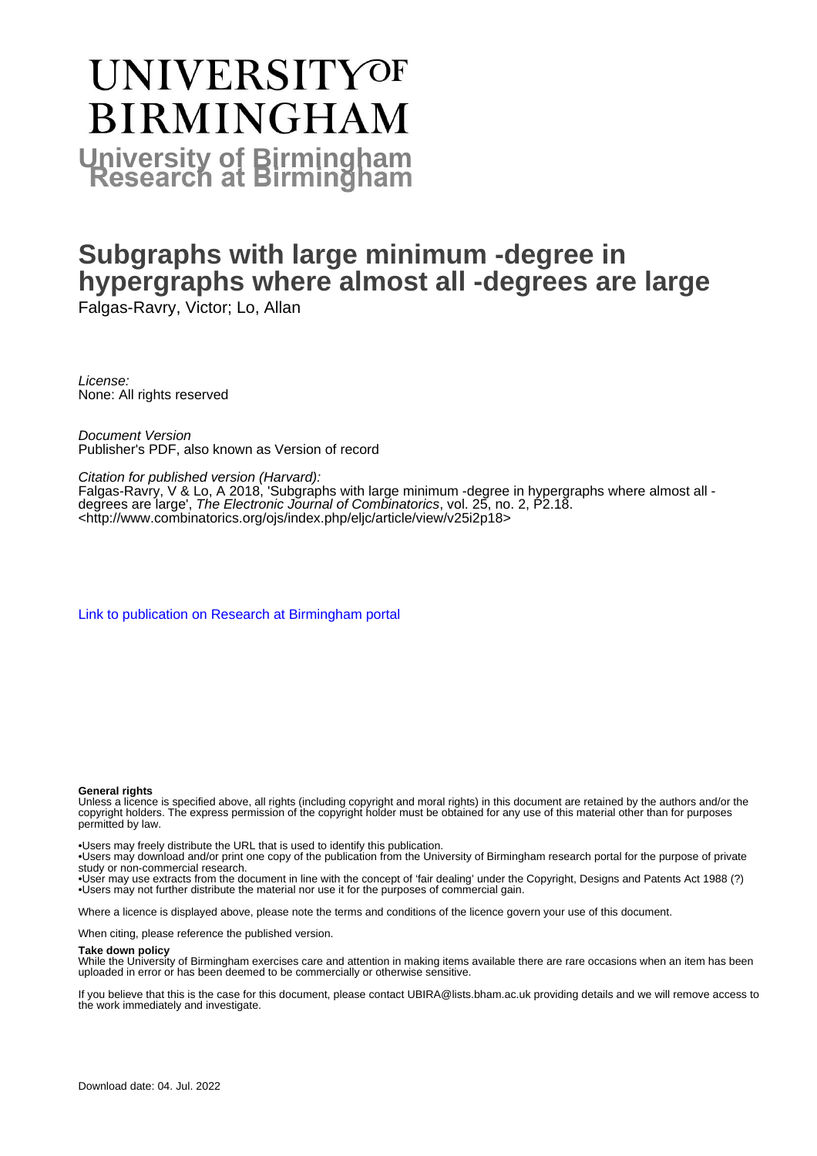# **UNIVERSITYOF BIRMINGHAM University of Birmingham**

# **Subgraphs with large minimum -degree in hypergraphs where almost all -degrees are large**

Falgas-Ravry, Victor; Lo, Allan

License: None: All rights reserved

Document Version Publisher's PDF, also known as Version of record

Citation for published version (Harvard):

Falgas-Ravry, V & Lo, A 2018, 'Subgraphs with large minimum -degree in hypergraphs where almost all degrees are large', The Electronic Journal of Combinatorics, vol. 25, no. 2, P2.18. <<http://www.combinatorics.org/ojs/index.php/eljc/article/view/v25i2p18>>

[Link to publication on Research at Birmingham portal](https://birmingham.elsevierpure.com/en/publications/199d36b6-ac4f-4ca5-a7b3-0b635b75bc03)

#### **General rights**

Unless a licence is specified above, all rights (including copyright and moral rights) in this document are retained by the authors and/or the copyright holders. The express permission of the copyright holder must be obtained for any use of this material other than for purposes permitted by law.

• Users may freely distribute the URL that is used to identify this publication.

• Users may download and/or print one copy of the publication from the University of Birmingham research portal for the purpose of private study or non-commercial research.

• User may use extracts from the document in line with the concept of 'fair dealing' under the Copyright, Designs and Patents Act 1988 (?) • Users may not further distribute the material nor use it for the purposes of commercial gain.

Where a licence is displayed above, please note the terms and conditions of the licence govern your use of this document.

When citing, please reference the published version.

#### **Take down policy**

While the University of Birmingham exercises care and attention in making items available there are rare occasions when an item has been uploaded in error or has been deemed to be commercially or otherwise sensitive.

If you believe that this is the case for this document, please contact UBIRA@lists.bham.ac.uk providing details and we will remove access to the work immediately and investigate.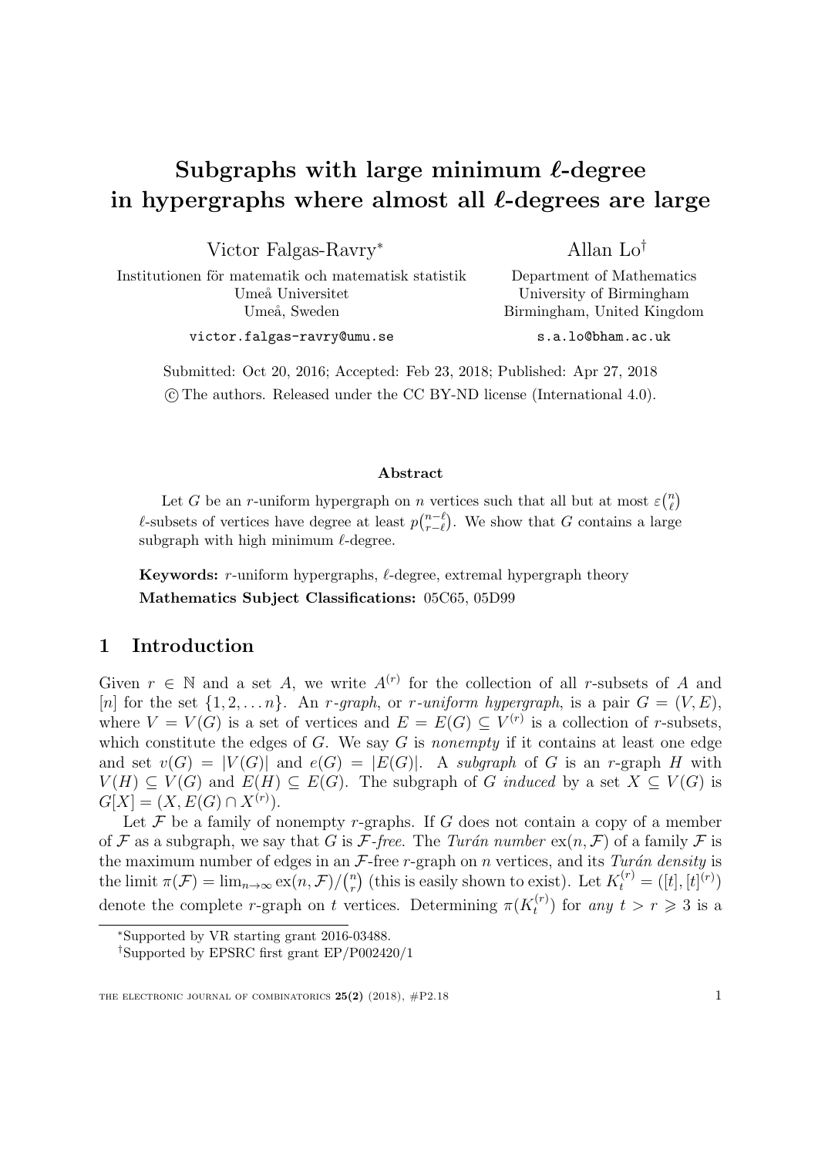# Subgraphs with large minimum  $\ell$ -degree in hypergraphs where almost all  $\ell$ -degrees are large

Victor Falgas-Ravry<sup>∗</sup>

Allan Lo†

Department of Mathematics University of Birmingham

Institutionen för matematik och matematisk statistik Umeå Universitet Umeå, Sweden

victor.falgas-ravry@umu.se

Birmingham, United Kingdom s.a.lo@bham.ac.uk

Submitted: Oct 20, 2016; Accepted: Feb 23, 2018; Published: Apr 27, 2018 c The authors. Released under the CC BY-ND license (International 4.0).

#### Abstract

Let G be an r-uniform hypergraph on n vertices such that all but at most  $\varepsilon\binom{n}{\ell}$  $\binom{n}{\ell}$  $\ell$ -subsets of vertices have degree at least  $p\binom{n-\ell}{r-\ell}$  $_{r-\ell}^{n-\ell}$ ). We show that G contains a large subgraph with high minimum  $\ell$ -degree.

**Keywords:** r-uniform hypergraphs,  $\ell$ -degree, extremal hypergraph theory Mathematics Subject Classifications: 05C65, 05D99

# 1 Introduction

Given  $r \in \mathbb{N}$  and a set A, we write  $A^{(r)}$  for the collection of all r-subsets of A and [n] for the set  $\{1, 2, \ldots n\}$ . An *r*-graph, or *r*-uniform hypergraph, is a pair  $G = (V, E)$ , where  $V = V(G)$  is a set of vertices and  $E = E(G) \subseteq V^{(r)}$  is a collection of r-subsets, which constitute the edges of  $G$ . We say  $G$  is *nonempty* if it contains at least one edge and set  $v(G) = |V(G)|$  and  $e(G) = |E(G)|$ . A subgraph of G is an r-graph H with  $V(H) \subseteq V(G)$  and  $E(H) \subseteq E(G)$ . The subgraph of G induced by a set  $X \subseteq V(G)$  is  $G[X] = (X, E(G) \cap X^{(r)}).$ 

Let  $\mathcal F$  be a family of nonempty r-graphs. If  $G$  does not contain a copy of a member of F as a subgraph, we say that G is F-free. The Turán number  $ex(n, \mathcal{F})$  of a family F is the maximum number of edges in an  $\mathcal F$ -free r-graph on n vertices, and its Turán density is the limit  $\pi(\mathcal{F}) = \lim_{n \to \infty} \exp(n, \mathcal{F}) / \binom{n}{r}$  $r$ <sup>n</sup>) (this is easily shown to exist). Let  $K_t^{(r)} = ([t], [t]^{(r)})$ denote the complete r-graph on t vertices. Determining  $\pi(K_t^{(r)})$  $t_t^{(r)}$ ) for any  $t > r \geqslant 3$  is a

<sup>∗</sup>Supported by VR starting grant 2016-03488.

<sup>†</sup>Supported by EPSRC first grant EP/P002420/1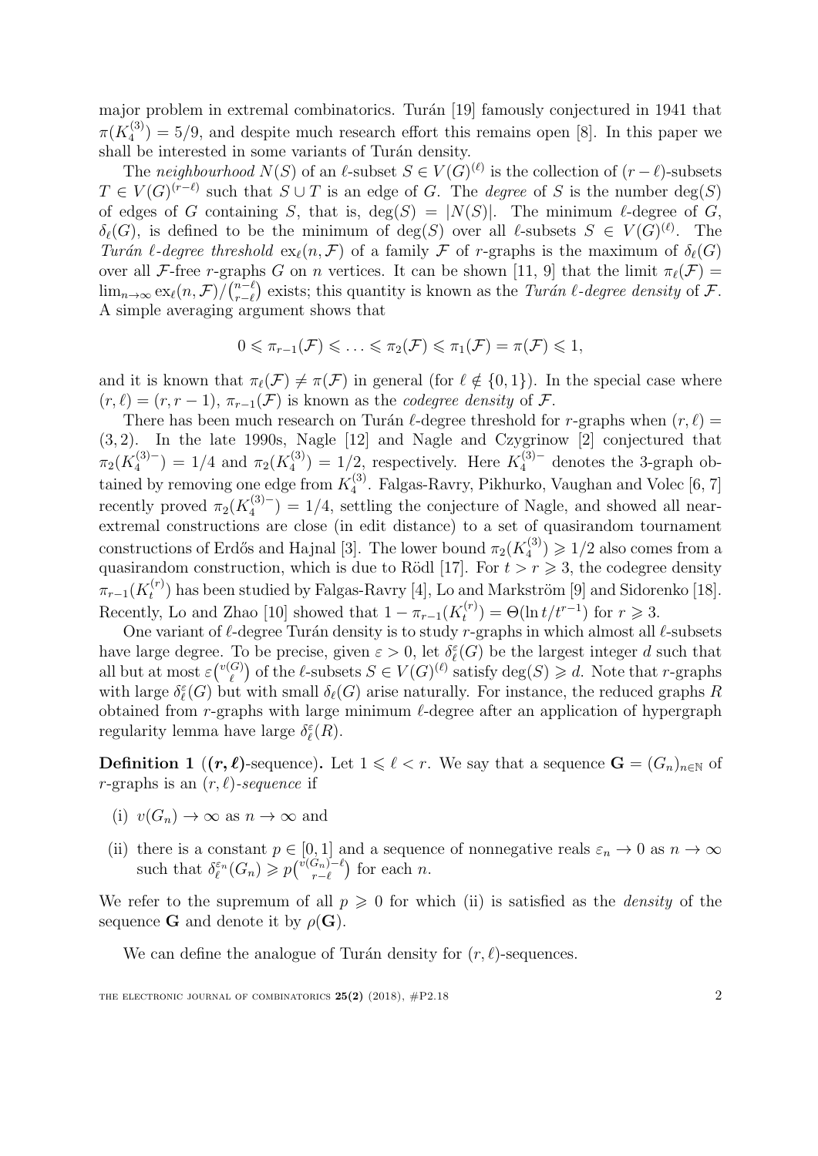major problem in extremal combinatorics. Turán [\[19\]](#page-7-0) famously conjectured in 1941 that  $\pi(K_4^{(3)}$  $\binom{3}{4}$  = 5/9, and despite much research effort this remains open [\[8\]](#page-7-1). In this paper we shall be interested in some variants of Turán density.

The neighbourhood  $N(S)$  of an  $\ell$ -subset  $S \in V(G)^{(\ell)}$  is the collection of  $(r - \ell)$ -subsets  $T \in V(G)^{(r-\ell)}$  such that  $S \cup T$  is an edge of G. The *degree* of S is the number deg(S) of edges of G containing S, that is,  $deg(S) = |N(S)|$ . The minimum  $\ell$ -degree of G,  $\delta_{\ell}(G)$ , is defined to be the minimum of  $\deg(S)$  over all  $\ell$ -subsets  $S \in V(G)^{(\ell)}$ . The Turán l-degree threshold  $\exp(n, \mathcal{F})$  of a family  $\mathcal F$  of r-graphs is the maximum of  $\delta_{\ell}(G)$ over all F-free r-graphs G on n vertices. It can be shown [\[11,](#page-7-2) [9\]](#page-7-3) that the limit  $\pi_{\ell}(\mathcal{F}) =$  $\lim_{n\to\infty} \exp(n,\mathcal{F})/ \binom{n-\ell}{r-\ell}$  $r_{r-\ell}^{n-\ell}$  exists; this quantity is known as the *Turán*  $\ell$ *-degree density* of  $\mathcal{F}.$ A simple averaging argument shows that

$$
0 \leq \pi_{r-1}(\mathcal{F}) \leq \ldots \leq \pi_2(\mathcal{F}) \leq \pi_1(\mathcal{F}) = \pi(\mathcal{F}) \leq 1,
$$

and it is known that  $\pi(\mathcal{F}) \neq \pi(\mathcal{F})$  in general (for  $\ell \notin \{0, 1\}$ ). In the special case where  $(r, \ell) = (r, r - 1), \pi_{r-1}(\mathcal{F})$  is known as the *codegree density* of  $\mathcal{F}$ .

There has been much research on Turán  $\ell$ -degree threshold for r-graphs when  $(r, \ell)$  = (3, 2). In the late 1990s, Nagle [\[12\]](#page-7-4) and Nagle and Czygrinow [\[2\]](#page-6-0) conjectured that  $\pi_2(K_4^{(3)-}$  $\pi_4^{(3)-}$  = 1/4 and  $\pi_2(K_4^{(3)})$  $\mathcal{L}_4^{(3)}$  = 1/2, respectively. Here  $K_4^{(3)-}$  denotes the 3-graph obtained by removing one edge from  $K_4^{(3)}$ 4 . Falgas-Ravry, Pikhurko, Vaughan and Volec [\[6,](#page-7-5) [7\]](#page-7-6) recently proved  $\pi_2(K_4^{(3)-})$  $\binom{3}{4}$  = 1/4, settling the conjecture of Nagle, and showed all nearextremal constructions are close (in edit distance) to a set of quasirandom tournament constructions of Erdős and Hajnal [\[3\]](#page-6-1). The lower bound  $\pi_2(K_4^{(3)})$  $\binom{(3)}{4} \geqslant 1/2$  also comes from a quasirandom construction, which is due to Rödl [\[17\]](#page-7-7). For  $t > r \geq 3$ , the codegree density  $\pi_{r-1}(K_t^{(r)}$  $t^{(r)}$ ) has been studied by Falgas-Ravry [\[4\]](#page-6-2), Lo and Markström [\[9\]](#page-7-3) and Sidorenko [\[18\]](#page-7-8). Recently, Lo and Zhao [\[10\]](#page-7-9) showed that  $1 - \pi_{r-1}(K_t^{(r)})$  $t_t^{(r)}$ ) =  $\Theta(\ln t/t^{r-1})$  for  $r \ge 3$ .

One variant of  $\ell$ -degree Turán density is to study r-graphs in which almost all  $\ell$ -subsets have large degree. To be precise, given  $\varepsilon > 0$ , let  $\delta_{\ell}^{\varepsilon}(G)$  be the largest integer d such that all but at most  $\varepsilon \binom{v(G)}{q}$  $\binom{G}{\ell}$  of the  $\ell$ -subsets  $S \in V(G)^{(\ell)}$  satisfy  $\deg(S) \geq d$ . Note that r-graphs with large  $\delta_{\ell}^{\varepsilon}(G)$  but with small  $\delta_{\ell}(G)$  arise naturally. For instance, the reduced graphs R obtained from r-graphs with large minimum  $\ell$ -degree after an application of hypergraph regularity lemma have large  $\delta_{\ell}^{\varepsilon}(R)$ .

<span id="page-2-0"></span>**Definition 1** ( $(r, \ell)$ -sequence). Let  $1 \leq \ell < r$ . We say that a sequence  $G = (G_n)_{n \in \mathbb{N}}$  of r-graphs is an  $(r, \ell)$ -sequence if

- (i)  $v(G_n) \to \infty$  as  $n \to \infty$  and
- (ii) there is a constant  $p \in [0, 1]$  and a sequence of nonnegative reals  $\varepsilon_n \to 0$  as  $n \to \infty$ such that  $\delta_{\ell}^{\varepsilon_n}(G_n) \geqslant p^{\left(\nu(G_n) - \ell\right)}_{r-\ell}$  $\binom{G_n)-\ell}{r-\ell}$  for each *n*.

We refer to the supremum of all  $p \geq 0$  for which (ii) is satisfied as the *density* of the sequence **G** and denote it by  $\rho(\mathbf{G})$ .

We can define the analogue of Turán density for  $(r, \ell)$ -sequences.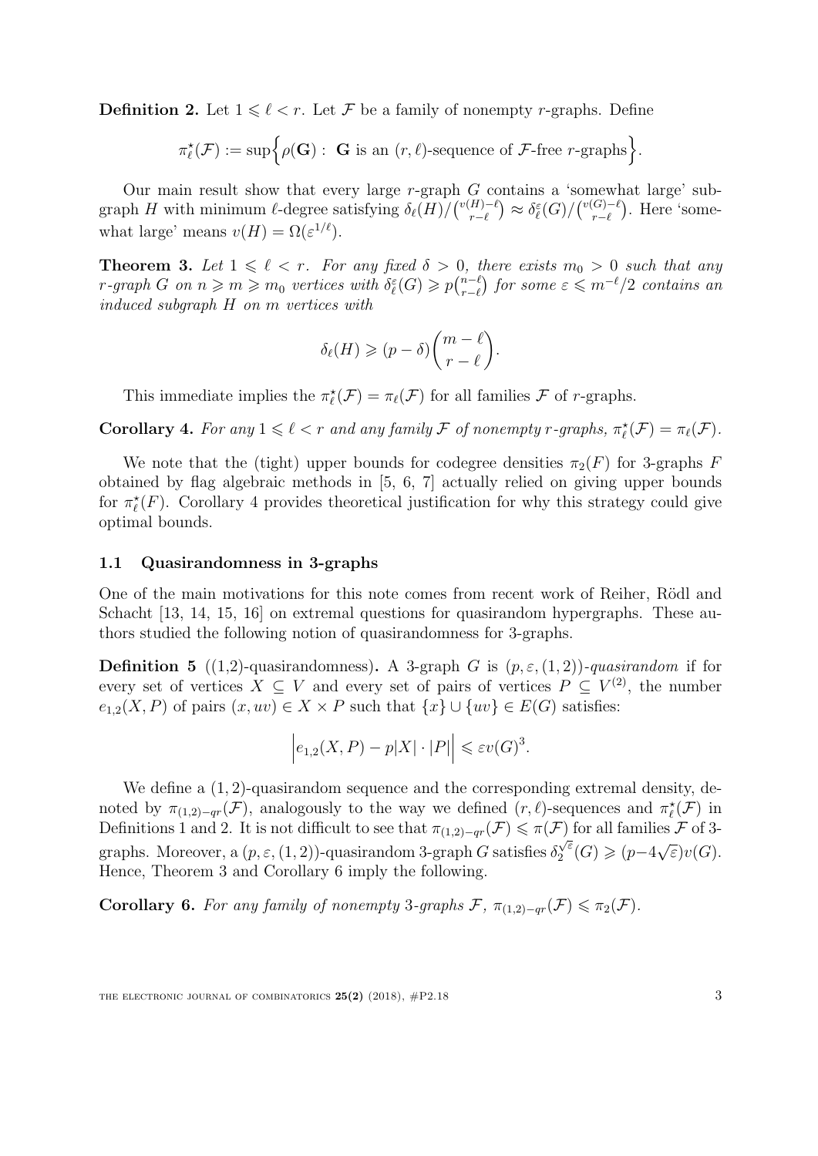<span id="page-3-1"></span>**Definition 2.** Let  $1 \leq \ell \leq r$ . Let F be a family of nonempty r-graphs. Define

$$
\pi_{\ell}^{\star}(\mathcal{F}) := \sup \Big\{ \rho(\mathbf{G}) : \ \mathbf{G} \text{ is an } (r,\ell) \text{-sequence of } \mathcal{F} \text{-free } r \text{-graphs} \Big\}.
$$

Our main result show that every large  $r$ -graph  $G$  contains a 'somewhat large' subgraph H with minimum  $\ell$ -degree satisfying  $\delta_{\ell}(H)/\binom{v(H)-\ell}{r-\ell}$  $\delta_{r-\ell}^{(H)-\ell}\big) \approx \delta_{\ell}^{\varepsilon}(G)/\binom{v(G)-\ell}{r-\ell}$  $r^{-\ell}$ ). Here 'somewhat large' means  $v(H) = \Omega(\varepsilon^{1/\ell}).$ 

<span id="page-3-2"></span>**Theorem 3.** Let  $1 \leq \ell < r$ . For any fixed  $\delta > 0$ , there exists  $m_0 > 0$  such that any r-graph G on  $n \geqslant m \geqslant m_0$  vertices with  $\delta_{\ell}^{\varepsilon}(G) \geqslant p_{n-\ell}^{n-\ell}$  $_{r-\ell}^{n-\ell}$ ) for some  $\varepsilon \leqslant m^{-\ell}/2$  contains an induced subgraph H on m vertices with

$$
\delta_{\ell}(H) \geqslant (p-\delta) \binom{m-\ell}{r-\ell}.
$$

This immediate implies the  $\pi_{\ell}^*(\mathcal{F}) = \pi_{\ell}(\mathcal{F})$  for all families  $\mathcal F$  of r-graphs.

<span id="page-3-0"></span>**Corollary 4.** For any  $1 \leq \ell < r$  and any family F of nonempty r-graphs,  $\pi_{\ell}^{\star}(\mathcal{F}) = \pi_{\ell}(\mathcal{F})$ .

We note that the (tight) upper bounds for codegree densities  $\pi_2(F)$  for 3-graphs F obtained by flag algebraic methods in [\[5,](#page-7-10) [6,](#page-7-5) [7\]](#page-7-6) actually relied on giving upper bounds for  $\pi_{\ell}^*(F)$ . Corollary [4](#page-3-0) provides theoretical justification for why this strategy could give optimal bounds.

#### 1.1 Quasirandomness in 3-graphs

One of the main motivations for this note comes from recent work of Reiher, Rödl and Schacht [\[13,](#page-7-11) [14,](#page-7-12) [15,](#page-7-13) [16\]](#page-7-14) on extremal questions for quasirandom hypergraphs. These authors studied the following notion of quasirandomness for 3-graphs.

**Definition 5** ((1,2)-quasirandomness). A 3-graph G is  $(p, \varepsilon, (1, 2))$ -quasirandom if for every set of vertices  $X \subseteq V$  and every set of pairs of vertices  $P \subseteq V^{(2)}$ , the number  $e_{1,2}(X, P)$  of pairs  $(x, uv) \in X \times P$  such that  $\{x\} \cup \{uv\} \in E(G)$  satisfies:

$$
\left| e_{1,2}(X,P) - p|X| \cdot |P| \right| \leqslant \varepsilon v(G)^3.
$$

We define a  $(1, 2)$ -quasirandom sequence and the corresponding extremal density, denoted by  $\pi_{(1,2)-qr}(\mathcal{F})$ , analogously to the way we defined  $(r, \ell)$ -sequences and  $\pi_{\ell}^{\star}(\mathcal{F})$  in Definitions [1](#page-2-0) and [2.](#page-3-1) It is not difficult to see that  $\pi_{(1,2)-qr}(\mathcal{F}) \leq \pi(\mathcal{F})$  for all families  $\mathcal F$  of 3graphs. Moreover, a  $(p, \varepsilon, (1, 2))$ -quasirandom 3-graph G satisfies  $\delta_2^{\sqrt{\varepsilon}}$  $\chi_2^{\sqrt{\varepsilon}}(G) \geqslant (p-4)\sqrt{\varepsilon}$ ε)v(G). Hence, Theorem [3](#page-3-2) and Corollary [6](#page-3-3) imply the following.

<span id="page-3-3"></span>**Corollary 6.** For any family of nonempty 3-graphs  $\mathcal{F}$ ,  $\pi_{(1,2)-qr}(\mathcal{F}) \leq \pi_2(\mathcal{F})$ .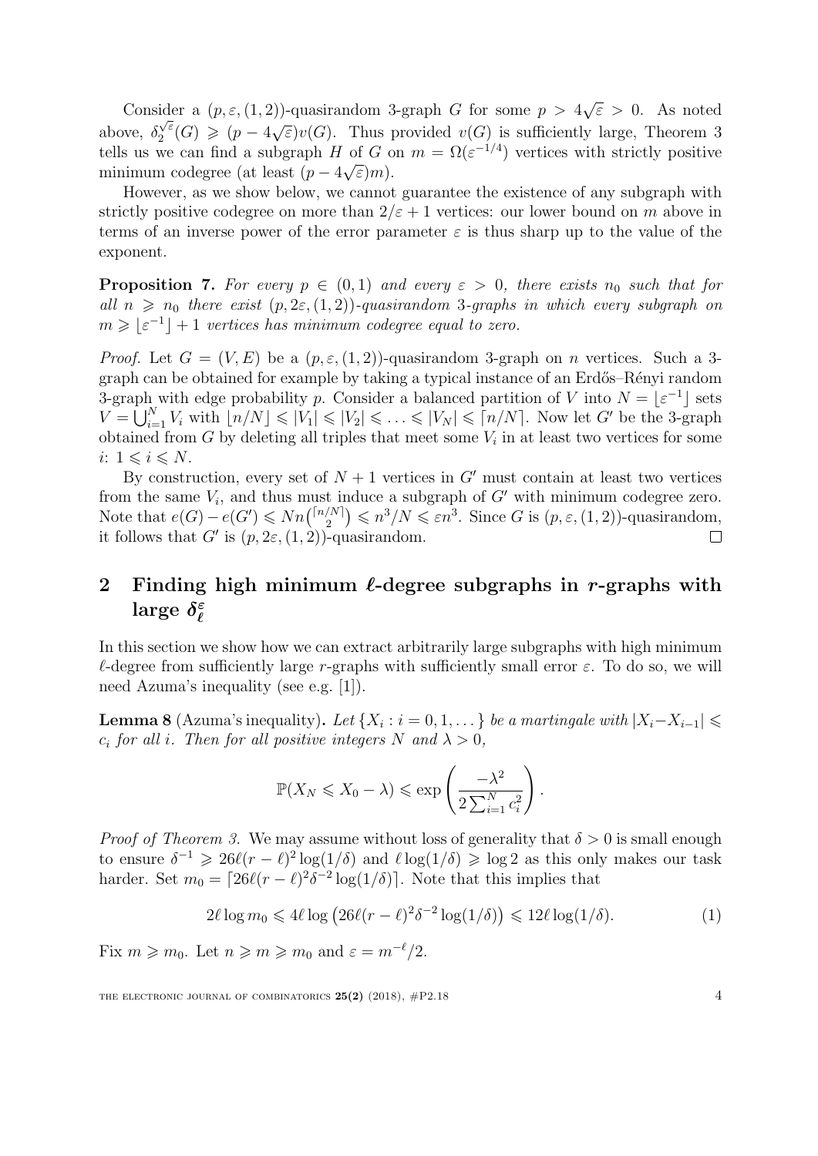Consider a  $(p, \varepsilon, (1, 2))$ -quasirandom 3-graph G for some  $p > 4$ √  $\overline{\varepsilon} > 0$ . As noted above,  $\delta$ √ ε  $\frac{\sqrt{\varepsilon}}{2}(G) \geqslant (p-4)\sqrt{\varepsilon}$  $\widehat{\epsilon}$ ) $v(G)$ . Thus provided  $v(G)$  is sufficiently large, Theorem [3](#page-3-2) tells us we can find a subgraph H of G on  $m = \Omega(\varepsilon^{-1/4})$  vertices with strictly positive minimum codegree (at least  $(p-4\sqrt{\varepsilon})m$ ).

However, as we show below, we cannot guarantee the existence of any subgraph with strictly positive codegree on more than  $2/\varepsilon + 1$  vertices: our lower bound on m above in terms of an inverse power of the error parameter  $\varepsilon$  is thus sharp up to the value of the exponent.

**Proposition 7.** For every  $p \in (0,1)$  and every  $\varepsilon > 0$ , there exists  $n_0$  such that for all  $n \geq n_0$  there exist  $(p, 2\varepsilon, (1, 2))$ -quasirandom 3-graphs in which every subgraph on  $m \geqslant \lfloor \varepsilon^{-1} \rfloor + 1$  vertices has minimum codegree equal to zero.

*Proof.* Let  $G = (V, E)$  be a  $(p, \varepsilon, (1, 2))$ -quasirandom 3-graph on *n* vertices. Such a 3graph can be obtained for example by taking a typical instance of an Erdős–Rényi random 3-graph with edge probability p. Consider a balanced partition of V into  $N = \lfloor \varepsilon^{-1} \rfloor$  sets  $V = \bigcup_{i=1}^N V_i$  with  $\lfloor n/N \rfloor \leqslant |V_1| \leqslant |V_2| \leqslant \ldots \leqslant |V_N| \leqslant \lceil n/N \rceil$ . Now let G' be the 3-graph obtained from  $G$  by deleting all triples that meet some  $V_i$  in at least two vertices for some i:  $1 \leqslant i \leqslant N$ .

By construction, every set of  $N + 1$  vertices in G' must contain at least two vertices from the same  $V_i$ , and thus must induce a subgraph of  $G'$  with minimum codegree zero. Note that  $e(G) - e(G') \leq Nn \binom{\lceil n/N \rceil}{2}$  $\binom{N}{2} \leqslant n^3/N \leqslant \varepsilon n^3$ . Since G is  $(p, \varepsilon, (1, 2))$ -quasirandom, it follows that G' is  $(p, 2\varepsilon, (1, 2))$ -quasirandom.  $\Box$ 

### 2 Finding high minimum  $\ell$ -degree subgraphs in r-graphs with large  $\delta^{\varepsilon}_{\ell}$  $\ell$

In this section we show how we can extract arbitrarily large subgraphs with high minimum  $\ell$ -degree from sufficiently large r-graphs with sufficiently small error  $\varepsilon$ . To do so, we will need Azuma's inequality (see e.g. [\[1\]](#page-6-3)).

<span id="page-4-0"></span>**Lemma 8** (Azuma's inequality). Let  $\{X_i : i = 0, 1, \dots\}$  be a martingale with  $|X_i - X_{i-1}| \leq$  $c_i$  for all i. Then for all positive integers N and  $\lambda > 0$ ,

<span id="page-4-1"></span>
$$
\mathbb{P}(X_N \leq X_0 - \lambda) \leq \exp\left(\frac{-\lambda^2}{2\sum_{i=1}^N c_i^2}\right).
$$

*Proof of Theorem [3.](#page-3-2)* We may assume without loss of generality that  $\delta > 0$  is small enough to ensure  $\delta^{-1} \geq 26\ell(r-\ell)^2 \log(1/\delta)$  and  $\ell \log(1/\delta) \geq \log 2$  as this only makes our task harder. Set  $m_0 = \left[26\ell(r - \ell)^2 \delta^{-2} \log(1/\delta)\right]$ . Note that this implies that

$$
2\ell \log m_0 \leqslant 4\ell \log \left( 26\ell (r - \ell)^2 \delta^{-2} \log(1/\delta) \right) \leqslant 12\ell \log(1/\delta). \tag{1}
$$

Fix  $m \geq m_0$ . Let  $n \geq m \geq m_0$  and  $\varepsilon = m^{-\ell}/2$ .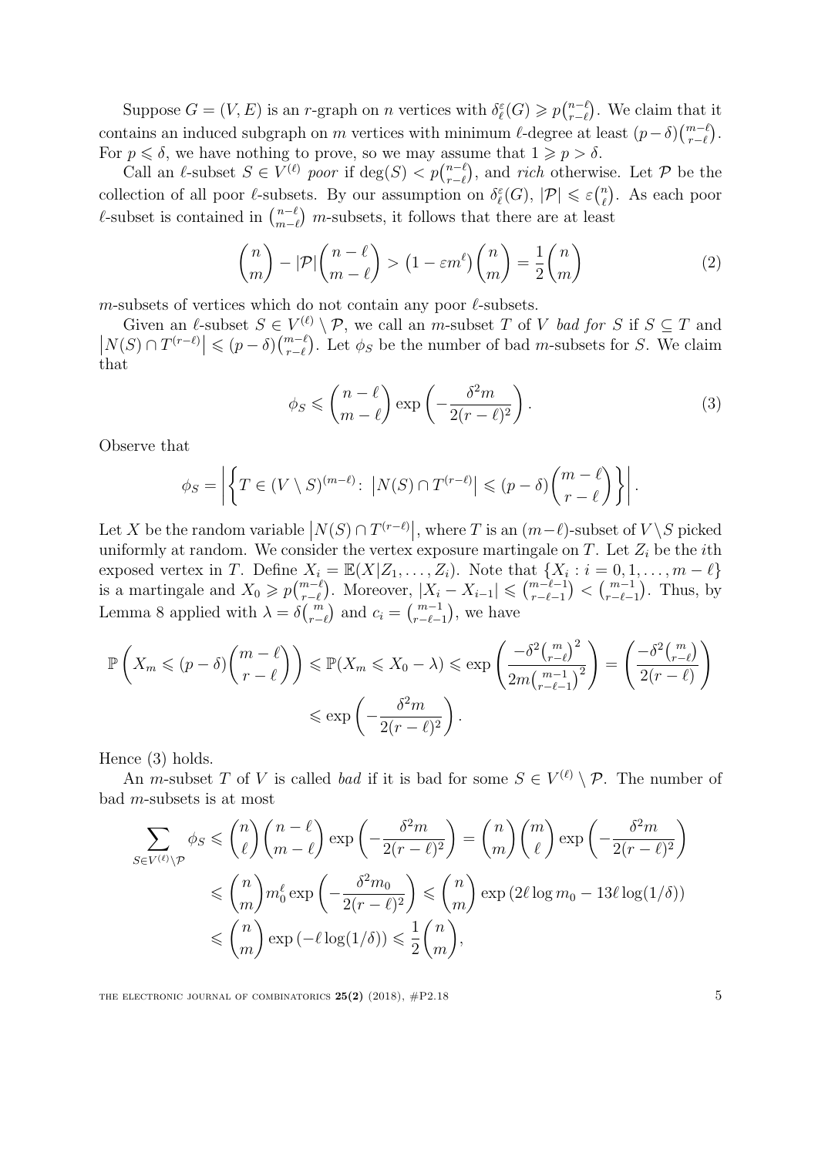Suppose  $G = (V, E)$  is an r-graph on n vertices with  $\delta_{\ell}^{\varepsilon}(G) \geqslant p_{\ell-\ell}^{n-\ell}$  $_{r-\ell}^{n-\ell}$ ). We claim that it contains an induced subgraph on m vertices with minimum  $\ell$ -degree at least  $(p-\delta) \binom{m-\ell}{r-\ell}$ . For  $p \leq \delta$ , we have nothing to prove, so we may assume that  $1 \geq p > \delta$ .

Call an  $\ell$ -subset  $S \in V^{(\ell)}$  poor if  $\deg(S) < p {n-\ell \choose r-\ell}$  $_{r-\ell}^{n-\ell}$ , and *rich* otherwise. Let P be the collection of all poor  $\ell$ -subsets. By our assumption on  $\delta_{\ell}^{\varepsilon}(G), |\mathcal{P}| \leqslant \varepsilon {\binom{n}{\ell}}$ . As each poor  $\ell$ -subset is contained in  $\binom{n-\ell}{m-\ell}$  m-subsets, it follows that there are at leas  $\binom{n-\ell}{m-\ell}$  m-subsets, it follows that there are at least

$$
\binom{n}{m} - |\mathcal{P}| \binom{n-\ell}{m-\ell} > \left(1 - \varepsilon m^{\ell}\right) \binom{n}{m} = \frac{1}{2} \binom{n}{m} \tag{2}
$$

m-subsets of vertices which do not contain any poor  $\ell$ -subsets.

Given an  $\ell$ -subset  $S \in V^{(\ell)} \setminus \mathcal{P}$ , we call an m-subset T of V bad for S if  $S \subseteq T$  and  $|N(S) \cap T^{(r-\ell)}| \leq (p-\delta)\binom{m-\ell}{r-\ell}$ . Let  $\phi_S$  be the number of bad m-subsets for S. We claim that

<span id="page-5-1"></span><span id="page-5-0"></span>
$$
\phi_S \leqslant \binom{n-\ell}{m-\ell} \exp\left(-\frac{\delta^2 m}{2(r-\ell)^2}\right). \tag{3}
$$

Observe that

$$
\phi_S = \left| \left\{ T \in (V \setminus S)^{(m-\ell)} \colon \left| N(S) \cap T^{(r-\ell)} \right| \leq (p-\delta) {m-\ell \choose r-\ell} \right\} \right|.
$$

Let X be the random variable  $\left| N(S) \cap T^{(r-\ell)} \right|$ , where T is an  $(m-\ell)$ -subset of  $V \setminus S$  picked uniformly at random. We consider the vertex exposure martingale on T. Let  $Z_i$  be the *i*th exposed vertex in T. Define  $X_i = \mathbb{E}(X|Z_1,\ldots,Z_i)$ . Note that  $\{X_i : i = 0,1,\ldots,m-\ell\}$ is a martingale and  $X_0 \geqslant p {m-\ell \choose r-\ell}$ . Moreover,  $|X_i - X_{i-1}| \leqslant {m-\ell-1 \choose r-\ell-1} < {m-1 \choose r-\ell-1}$ . Thus, by Lemma [8](#page-4-0) applied with  $\lambda = \delta {m \choose r-\ell}$  and  $c_i = {m-1 \choose r-\ell-1}$ , we have

$$
\mathbb{P}\left(X_m \leqslant (p-\delta)\binom{m-\ell}{r-\ell}\right) \leqslant \mathbb{P}(X_m \leqslant X_0 - \lambda) \leqslant \exp\left(\frac{-\delta^2 \binom{m}{r-\ell}^2}{2m\binom{m-1}{r-\ell-1}^2}\right) = \left(\frac{-\delta^2 \binom{m}{r-\ell}}{2(r-\ell)}\right)
$$

$$
\leqslant \exp\left(-\frac{\delta^2 m}{2(r-\ell)^2}\right).
$$

Hence [\(3\)](#page-5-0) holds.

An *m*-subset T of V is called *bad* if it is bad for some  $S \in V^{(\ell)} \setminus \mathcal{P}$ . The number of bad m-subsets is at most

$$
\sum_{S \in V^{(\ell)} \backslash \mathcal{P}} \phi_S \leq \binom{n}{\ell} \binom{n-\ell}{m-\ell} \exp\left(-\frac{\delta^2 m}{2(r-\ell)^2}\right) = \binom{n}{m} \binom{m}{\ell} \exp\left(-\frac{\delta^2 m}{2(r-\ell)^2}\right)
$$

$$
\leq \binom{n}{m} m_0^{\ell} \exp\left(-\frac{\delta^2 m_0}{2(r-\ell)^2}\right) \leq \binom{n}{m} \exp\left(2\ell \log m_0 - 13\ell \log(1/\delta)\right)
$$

$$
\leq \binom{n}{m} \exp\left(-\ell \log(1/\delta)\right) \leq \frac{1}{2} \binom{n}{m},
$$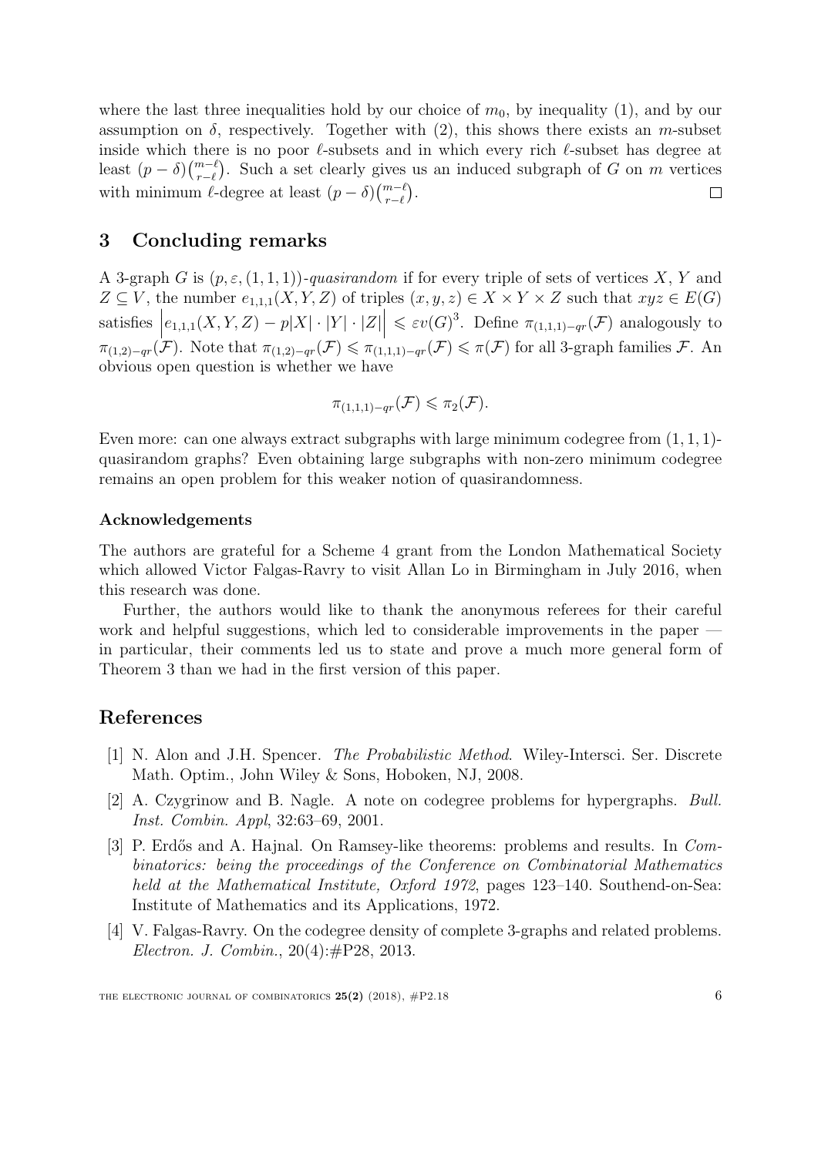where the last three inequalities hold by our choice of  $m_0$ , by inequality [\(1\)](#page-4-1), and by our assumption on  $\delta$ , respectively. Together with [\(2\)](#page-5-1), this shows there exists an m-subset inside which there is no poor  $\ell$ -subsets and in which every rich  $\ell$ -subset has degree at least  $(p - \delta) \binom{m-\ell}{r-\ell}$ . Such a set clearly gives us an induced subgraph of G on m vertices with minimum  $\ell$ -degree at least  $(p - \delta) \binom{m-\ell}{r-\ell}$ .  $\Box$ 

# 3 Concluding remarks

A 3-graph G is  $(p, \varepsilon, (1, 1, 1))$ -quasirandom if for every triple of sets of vertices X, Y and  $Z \subseteq V$ , the number  $e_{1,1,1}(X, Y, Z)$  of triples  $(x, y, z) \in X \times Y \times Z$  such that  $xyz \in E(G)$  $satisfies \n\Big|$  $e_{1,1,1}(X,Y,Z) - p|X| \cdot |Y| \cdot |Z| \leq \varepsilon v(G)^3$ . Define  $\pi_{(1,1,1)-qr}(\mathcal{F})$  analogously to  $\pi_{(1,2)-qr}(\mathcal{F})$ . Note that  $\pi_{(1,2)-qr}(\mathcal{F}) \leqslant \pi_{(1,1,1)-qr}(\mathcal{F}) \leqslant \pi(\mathcal{F})$  for all 3-graph families  $\mathcal{F}$ . An obvious open question is whether we have

$$
\pi_{(1,1,1)-qr}(\mathcal{F})\leqslant \pi_2(\mathcal{F}).
$$

Even more: can one always extract subgraphs with large minimum codegree from  $(1, 1, 1)$ quasirandom graphs? Even obtaining large subgraphs with non-zero minimum codegree remains an open problem for this weaker notion of quasirandomness.

## Acknowledgements

The authors are grateful for a Scheme 4 grant from the London Mathematical Society which allowed Victor Falgas-Ravry to visit Allan Lo in Birmingham in July 2016, when this research was done.

Further, the authors would like to thank the anonymous referees for their careful work and helpful suggestions, which led to considerable improvements in the paper in particular, their comments led us to state and prove a much more general form of Theorem [3](#page-3-2) than we had in the first version of this paper.

# References

- <span id="page-6-3"></span>[1] N. Alon and J.H. Spencer. The Probabilistic Method. Wiley-Intersci. Ser. Discrete Math. Optim., John Wiley & Sons, Hoboken, NJ, 2008.
- <span id="page-6-0"></span>[2] A. Czygrinow and B. Nagle. A note on codegree problems for hypergraphs. Bull. Inst. Combin. Appl, 32:63–69, 2001.
- <span id="page-6-1"></span>[3] P. Erdős and A. Hajnal. On Ramsey-like theorems: problems and results. In Combinatorics: being the proceedings of the Conference on Combinatorial Mathematics held at the Mathematical Institute, Oxford 1972, pages 123–140. Southend-on-Sea: Institute of Mathematics and its Applications, 1972.
- <span id="page-6-2"></span>[4] V. Falgas-Ravry. On the codegree density of complete 3-graphs and related problems. Electron. J. Combin., 20(4):#P28, 2013.